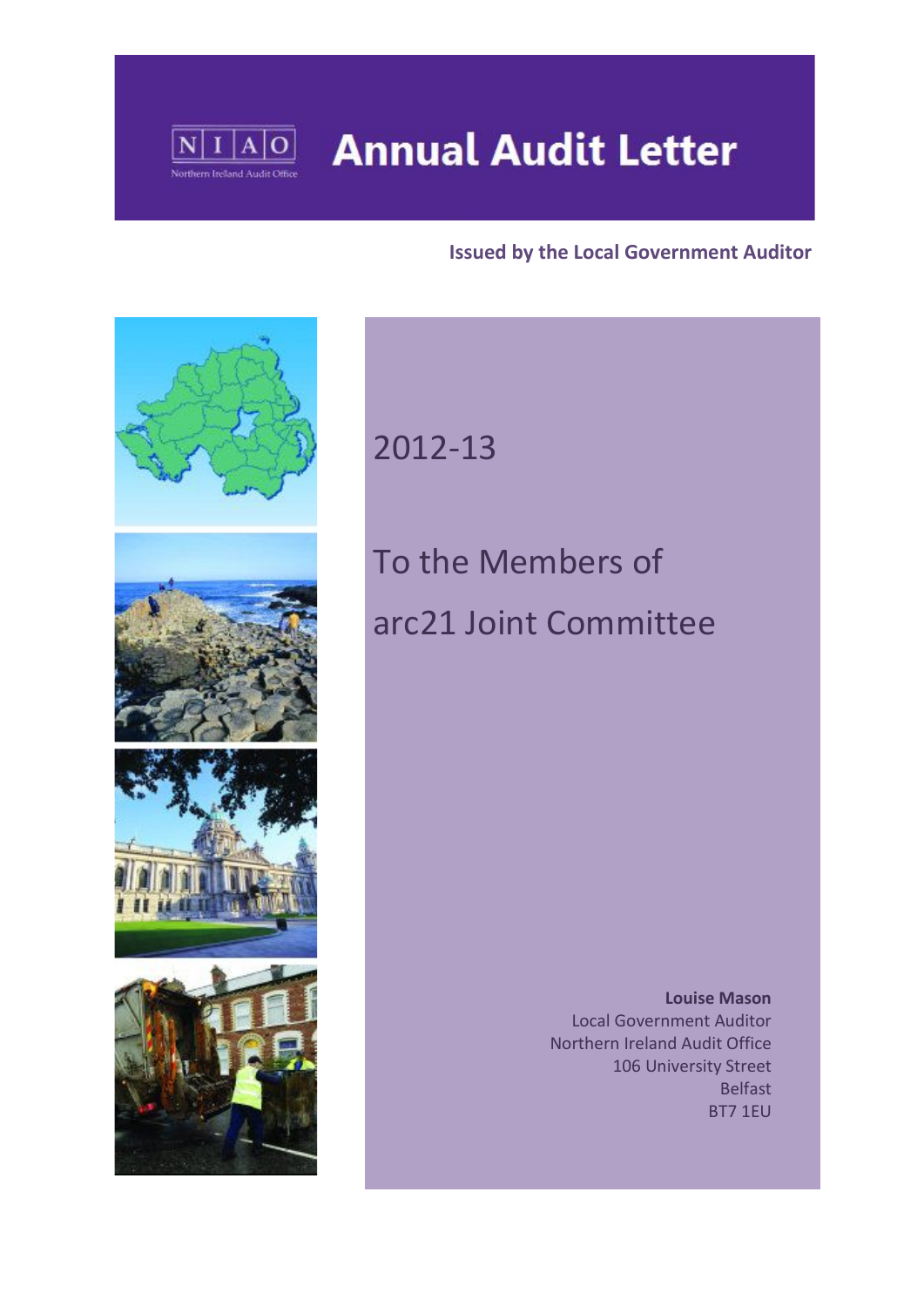

# **Annual Audit Letter**

## **Issued by the Local Government Auditor**



# 2012-13

# To the Members of arc21 Joint Committee

 **Louise Mason** Local Government Auditor Northern Ireland Audit Office 106 University Street Belfast BT7 1EU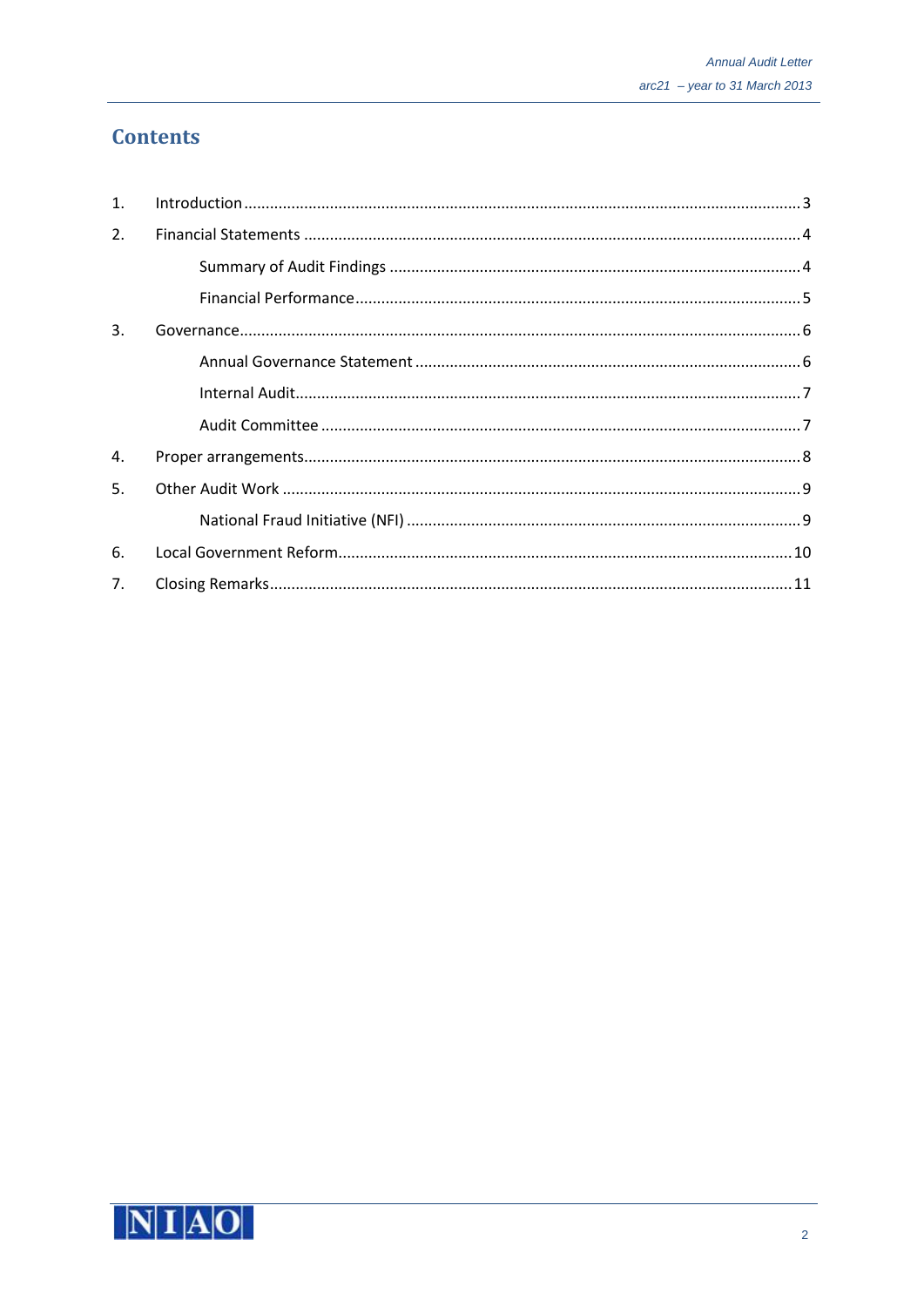# **Contents**

| $\mathbf{1}$ . |  |
|----------------|--|
| 2.             |  |
|                |  |
|                |  |
| 3.             |  |
|                |  |
|                |  |
|                |  |
| 4.             |  |
| 5.             |  |
|                |  |
| 6.             |  |
| 7.             |  |

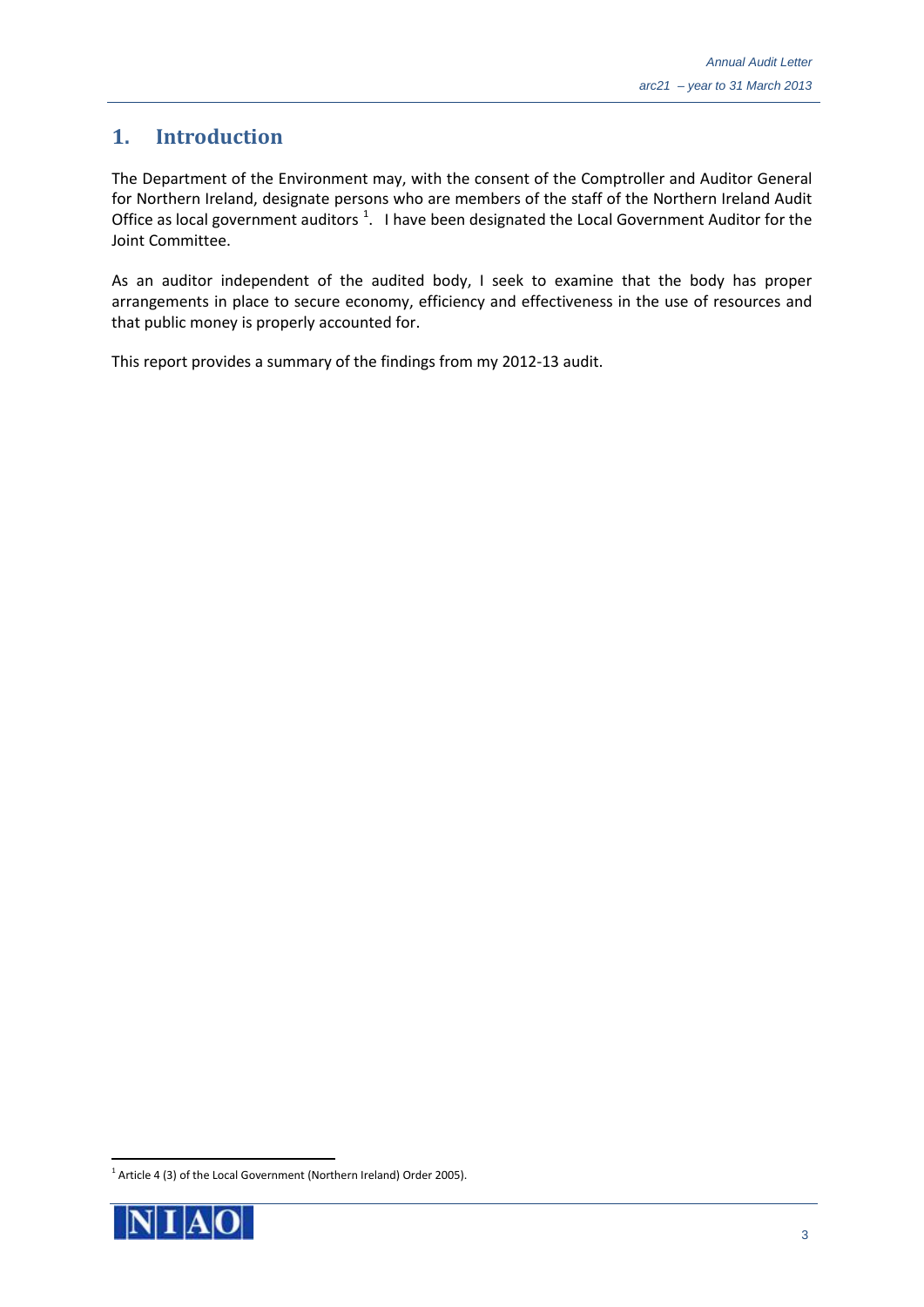# <span id="page-2-0"></span>**1. Introduction**

The Department of the Environment may, with the consent of the Comptroller and Auditor General for Northern Ireland, designate persons who are members of the staff of the Northern Ireland Audit Office as local government auditors  $1$ . I have been designated the Local Government Auditor for the Joint Committee.

As an auditor independent of the audited body, I seek to examine that the body has proper arrangements in place to secure economy, efficiency and effectiveness in the use of resources and that public money is properly accounted for.

This report provides a summary of the findings from my 2012-13 audit.

<span id="page-2-1"></span><sup>&</sup>lt;sup>1</sup> Article 4 (3) of the Local Government (Northern Ireland) Order 2005).

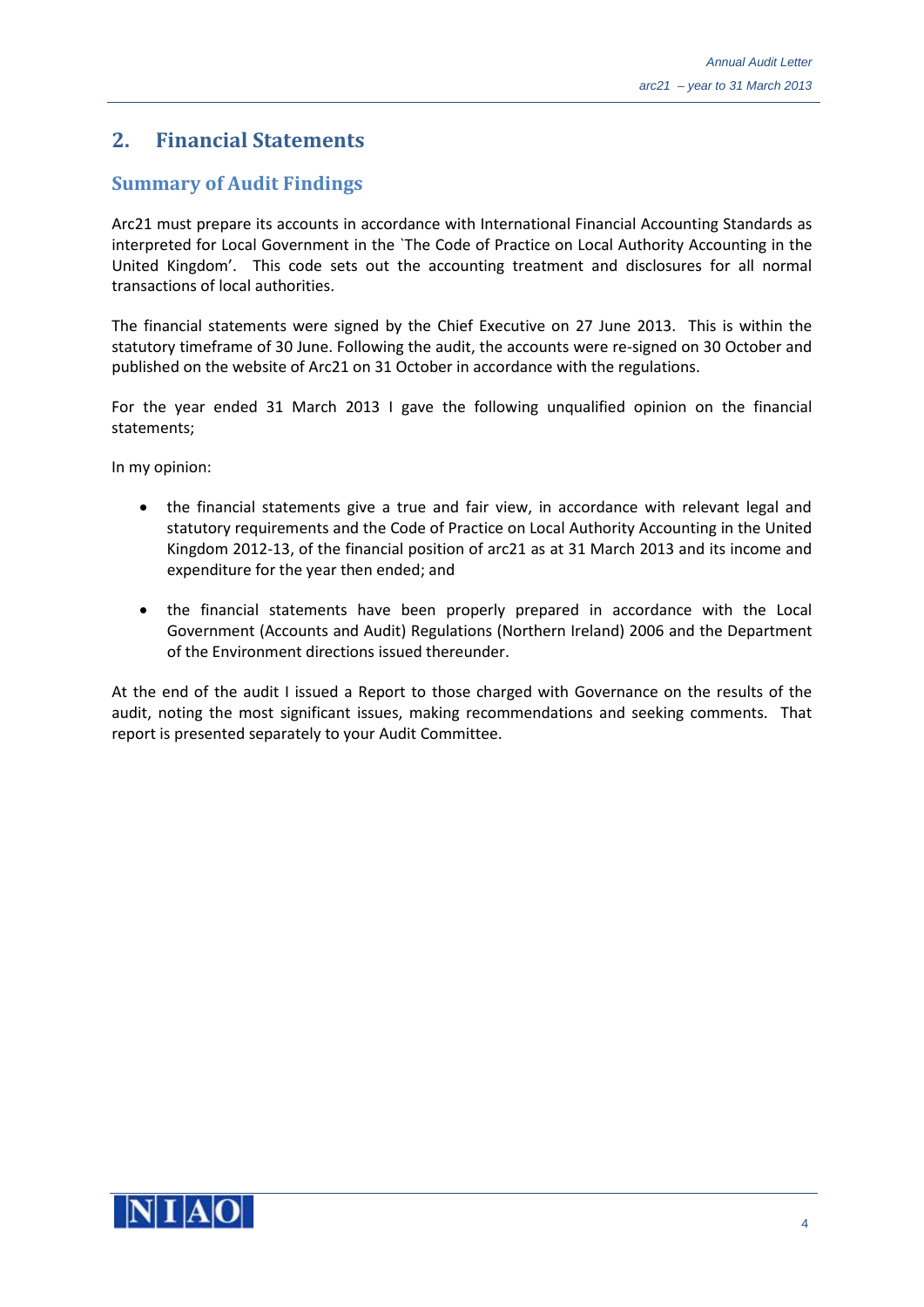# <span id="page-3-0"></span>**2. Financial Statements**

#### <span id="page-3-1"></span>**Summary of Audit Findings**

Arc21 must prepare its accounts in accordance with International Financial Accounting Standards as interpreted for Local Government in the `The Code of Practice on Local Authority Accounting in the United Kingdom'. This code sets out the accounting treatment and disclosures for all normal transactions of local authorities.

The financial statements were signed by the Chief Executive on 27 June 2013. This is within the statutory timeframe of 30 June. Following the audit, the accounts were re-signed on 30 October and published on the website of Arc21 on 31 October in accordance with the regulations.

For the year ended 31 March 2013 I gave the following unqualified opinion on the financial statements;

In my opinion:

- the financial statements give a true and fair view, in accordance with relevant legal and statutory requirements and the Code of Practice on Local Authority Accounting in the United Kingdom 2012-13, of the financial position of arc21 as at 31 March 2013 and its income and expenditure for the year then ended; and
- the financial statements have been properly prepared in accordance with the Local Government (Accounts and Audit) Regulations (Northern Ireland) 2006 and the Department of the Environment directions issued thereunder.

At the end of the audit I issued a Report to those charged with Governance on the results of the audit, noting the most significant issues, making recommendations and seeking comments. That report is presented separately to your Audit Committee.

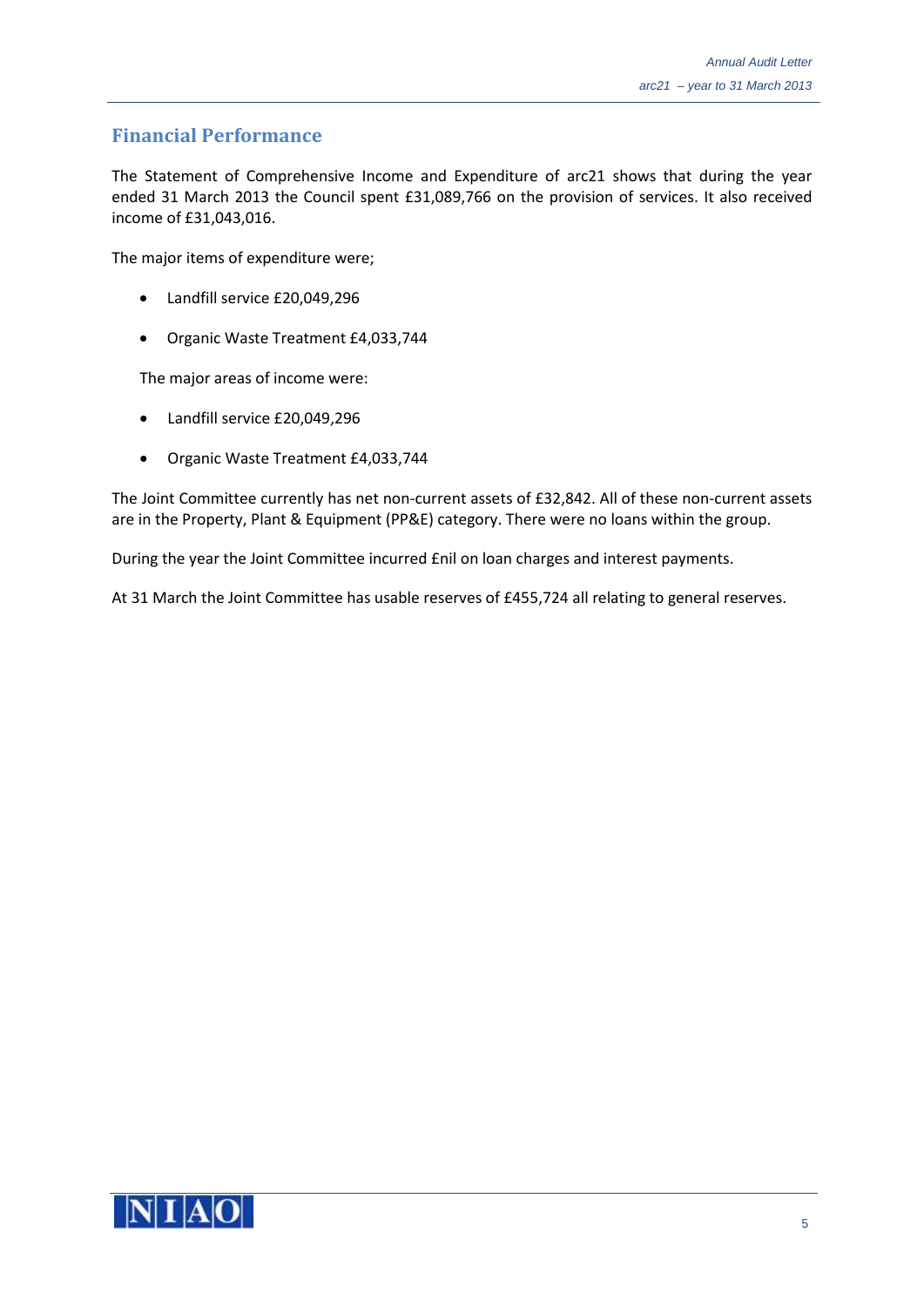#### <span id="page-4-0"></span>**Financial Performance**

The Statement of Comprehensive Income and Expenditure of arc21 shows that during the year ended 31 March 2013 the Council spent £31,089,766 on the provision of services. It also received income of £31,043,016.

The major items of expenditure were;

- Landfill service £20,049,296
- Organic Waste Treatment £4,033,744

The major areas of income were:

- Landfill service £20,049,296
- Organic Waste Treatment £4,033,744

The Joint Committee currently has net non-current assets of £32,842. All of these non-current assets are in the Property, Plant & Equipment (PP&E) category. There were no loans within the group.

During the year the Joint Committee incurred £nil on loan charges and interest payments.

At 31 March the Joint Committee has usable reserves of £455,724 all relating to general reserves.

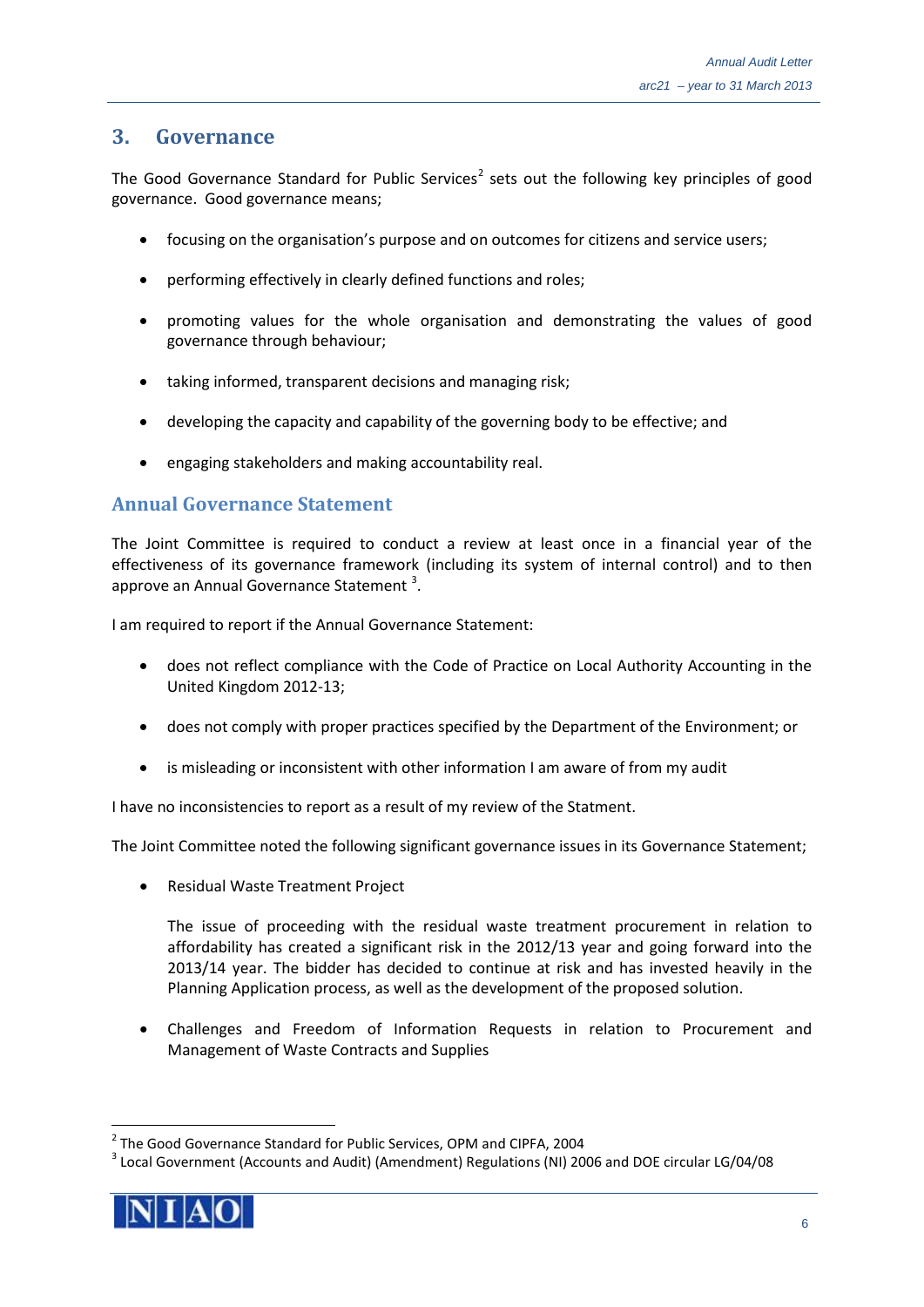### <span id="page-5-0"></span>**3. Governance**

The Good Governance Standard for Public Services<sup>[2](#page-5-2)</sup> sets out the following key principles of good governance. Good governance means;

- focusing on the organisation's purpose and on outcomes for citizens and service users;
- performing effectively in clearly defined functions and roles;
- promoting values for the whole organisation and demonstrating the values of good governance through behaviour;
- taking informed, transparent decisions and managing risk;
- developing the capacity and capability of the governing body to be effective; and
- engaging stakeholders and making accountability real.

#### <span id="page-5-1"></span>**Annual Governance Statement**

The Joint Committee is required to conduct a review at least once in a financial year of the effectiveness of its governance framework (including its system of internal control) and to then approve an Annual Governance Statement  $3$ .

I am required to report if the Annual Governance Statement:

- does not reflect compliance with the Code of Practice on Local Authority Accounting in the United Kingdom 2012-13;
- does not comply with proper practices specified by the Department of the Environment; or
- is misleading or inconsistent with other information I am aware of from my audit

I have no inconsistencies to report as a result of my review of the Statment.

The Joint Committee noted the following significant governance issues in its Governance Statement;

• Residual Waste Treatment Project

The issue of proceeding with the residual waste treatment procurement in relation to affordability has created a significant risk in the 2012/13 year and going forward into the 2013/14 year. The bidder has decided to continue at risk and has invested heavily in the Planning Application process, as well as the development of the proposed solution.

• Challenges and Freedom of Information Requests in relation to Procurement and Management of Waste Contracts and Supplies

<span id="page-5-3"></span><span id="page-5-2"></span><sup>&</sup>lt;sup>3</sup> Local Government (Accounts and Audit) (Amendment) Regulations (NI) 2006 and DOE circular LG/04/08



<sup>&</sup>lt;sup>2</sup> The Good Governance Standard for Public Services, OPM and CIPFA, 2004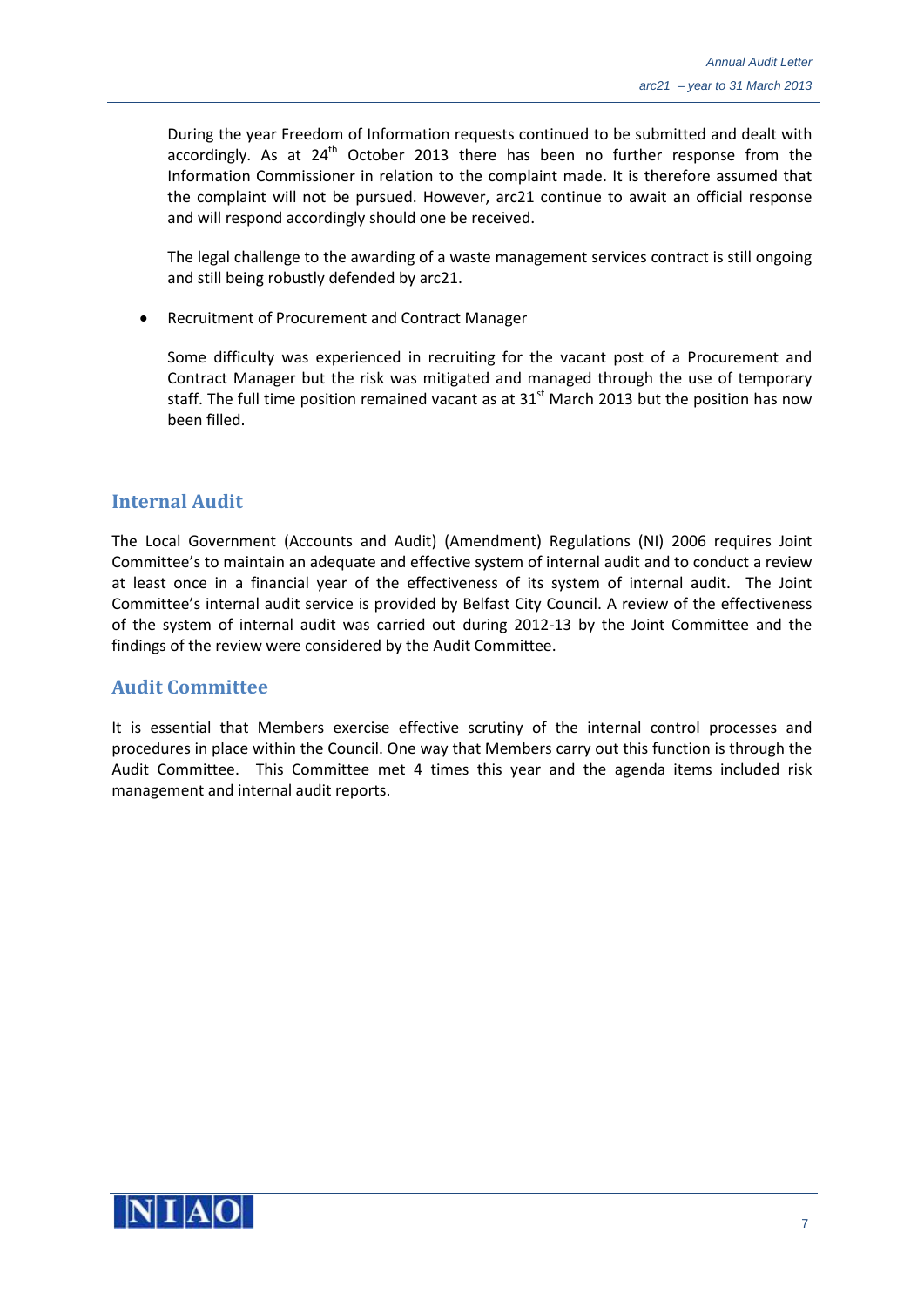During the year Freedom of Information requests continued to be submitted and dealt with accordingly. As at  $24<sup>th</sup>$  October 2013 there has been no further response from the Information Commissioner in relation to the complaint made. It is therefore assumed that the complaint will not be pursued. However, arc21 continue to await an official response and will respond accordingly should one be received.

The legal challenge to the awarding of a waste management services contract is still ongoing and still being robustly defended by arc21.

• Recruitment of Procurement and Contract Manager

Some difficulty was experienced in recruiting for the vacant post of a Procurement and Contract Manager but the risk was mitigated and managed through the use of temporary staff. The full time position remained vacant as at  $31<sup>st</sup>$  March 2013 but the position has now been filled.

#### <span id="page-6-0"></span>**Internal Audit**

The Local Government (Accounts and Audit) (Amendment) Regulations (NI) 2006 requires Joint Committee's to maintain an adequate and effective system of internal audit and to conduct a review at least once in a financial year of the effectiveness of its system of internal audit. The Joint Committee's internal audit service is provided by Belfast City Council. A review of the effectiveness of the system of internal audit was carried out during 2012-13 by the Joint Committee and the findings of the review were considered by the Audit Committee.

#### <span id="page-6-1"></span>**Audit Committee**

It is essential that Members exercise effective scrutiny of the internal control processes and procedures in place within the Council. One way that Members carry out this function is through the Audit Committee. This Committee met 4 times this year and the agenda items included risk management and internal audit reports.

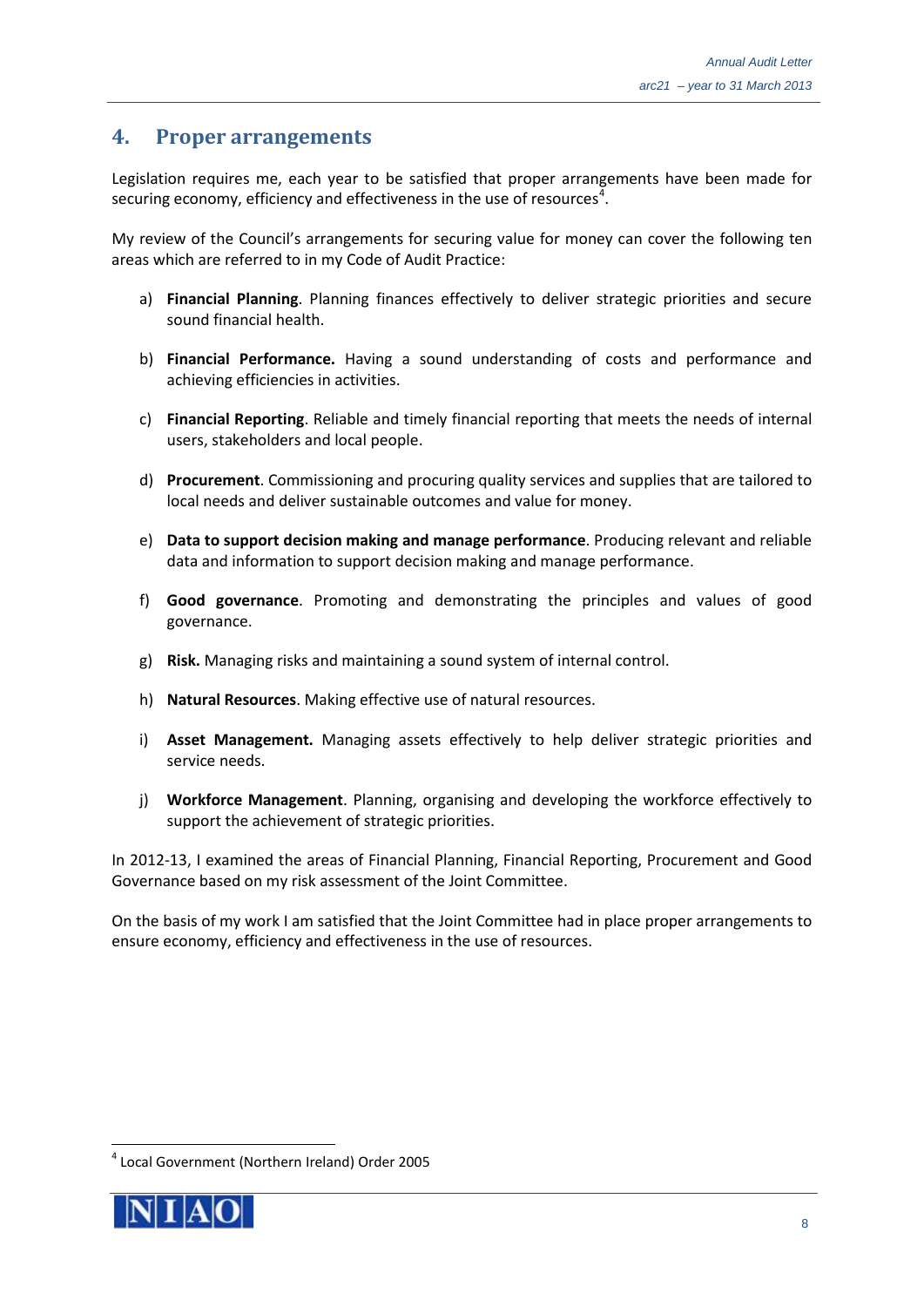#### <span id="page-7-0"></span>**4. Proper arrangements**

Legislation requires me, each year to be satisfied that proper arrangements have been made for securing economy, efficiency and effectiveness in the use of resources<sup>[4](#page-7-1)</sup>.

My review of the Council's arrangements for securing value for money can cover the following ten areas which are referred to in my Code of Audit Practice:

- a) **Financial Planning**. Planning finances effectively to deliver strategic priorities and secure sound financial health.
- b) **Financial Performance.** Having a sound understanding of costs and performance and achieving efficiencies in activities.
- c) **Financial Reporting**. Reliable and timely financial reporting that meets the needs of internal users, stakeholders and local people.
- d) **Procurement**. Commissioning and procuring quality services and supplies that are tailored to local needs and deliver sustainable outcomes and value for money.
- e) **Data to support decision making and manage performance**. Producing relevant and reliable data and information to support decision making and manage performance.
- f) **Good governance**. Promoting and demonstrating the principles and values of good governance.
- g) **Risk.** Managing risks and maintaining a sound system of internal control.
- h) **Natural Resources**. Making effective use of natural resources.
- i) **Asset Management.** Managing assets effectively to help deliver strategic priorities and service needs.
- j) **Workforce Management**. Planning, organising and developing the workforce effectively to support the achievement of strategic priorities.

In 2012-13, I examined the areas of Financial Planning, Financial Reporting, Procurement and Good Governance based on my risk assessment of the Joint Committee.

On the basis of my work I am satisfied that the Joint Committee had in place proper arrangements to ensure economy, efficiency and effectiveness in the use of resources.

<span id="page-7-1"></span> <sup>4</sup> Local Government (Northern Ireland) Order 2005

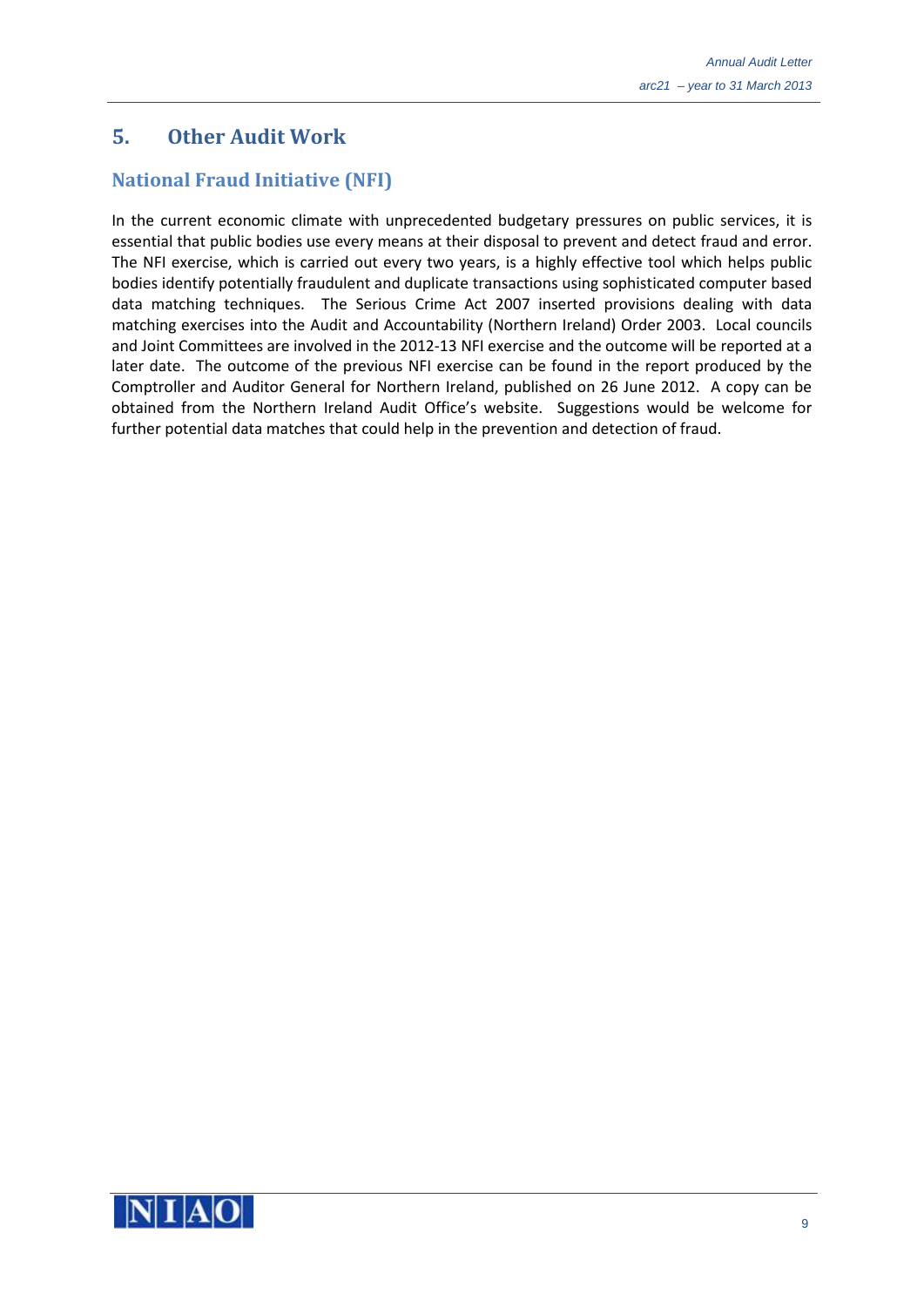# <span id="page-8-0"></span>**5. Other Audit Work**

# <span id="page-8-1"></span>**National Fraud Initiative (NFI)**

In the current economic climate with unprecedented budgetary pressures on public services, it is essential that public bodies use every means at their disposal to prevent and detect fraud and error. The NFI exercise, which is carried out every two years, is a highly effective tool which helps public bodies identify potentially fraudulent and duplicate transactions using sophisticated computer based data matching techniques. The Serious Crime Act 2007 inserted provisions dealing with data matching exercises into the Audit and Accountability (Northern Ireland) Order 2003. Local councils and Joint Committees are involved in the 2012-13 NFI exercise and the outcome will be reported at a later date. The outcome of the previous NFI exercise can be found in the report produced by the Comptroller and Auditor General for Northern Ireland, published on 26 June 2012. A copy can be obtained from the Northern Ireland Audit Office's website. Suggestions would be welcome for further potential data matches that could help in the prevention and detection of fraud.

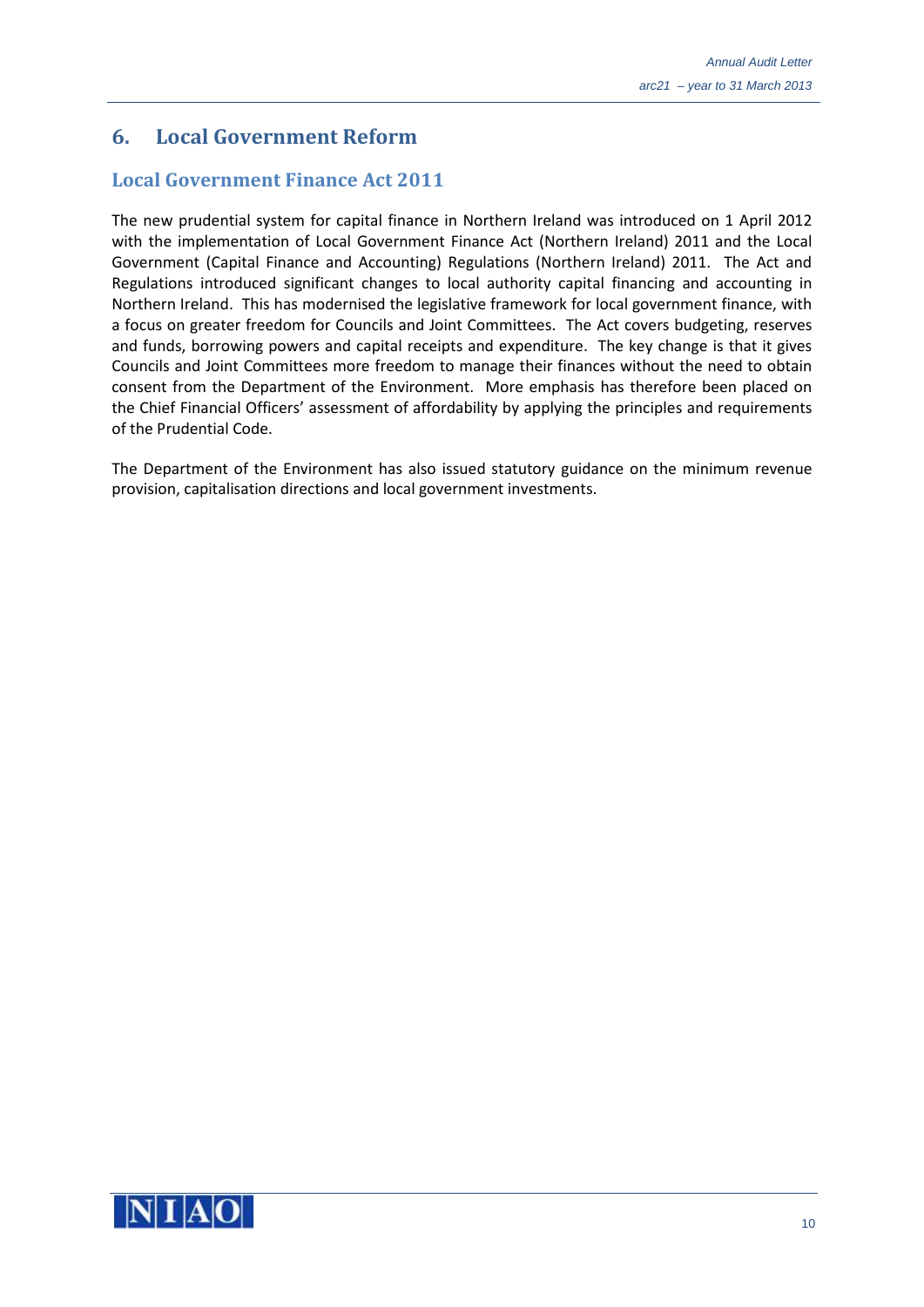# <span id="page-9-0"></span>**6. Local Government Reform**

## **Local Government Finance Act 2011**

The new prudential system for capital finance in Northern Ireland was introduced on 1 April 2012 with the implementation of Local Government Finance Act (Northern Ireland) 2011 and the Local Government (Capital Finance and Accounting) Regulations (Northern Ireland) 2011. The Act and Regulations introduced significant changes to local authority capital financing and accounting in Northern Ireland. This has modernised the legislative framework for local government finance, with a focus on greater freedom for Councils and Joint Committees. The Act covers budgeting, reserves and funds, borrowing powers and capital receipts and expenditure. The key change is that it gives Councils and Joint Committees more freedom to manage their finances without the need to obtain consent from the Department of the Environment. More emphasis has therefore been placed on the Chief Financial Officers' assessment of affordability by applying the principles and requirements of the Prudential Code.

The Department of the Environment has also issued statutory guidance on the minimum revenue provision, capitalisation directions and local government investments.